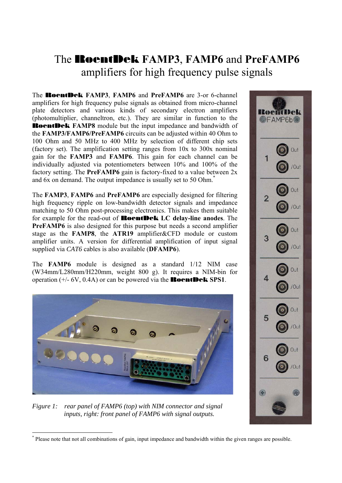## The RoentDek **FAMP3**, **FAMP6** and **PreFAMP6** amplifiers for high frequency pulse signals

The RoentDek **FAMP3**, **FAMP6** and **PreFAMP6** are 3-or 6-channel amplifiers for high frequency pulse signals as obtained from micro-channel plate detectors and various kinds of secondary electron amplifiers (photomultiplier, channeltron, etc.). They are similar in function to the RoentDek **FAMP8** module but the input impedance and bandwidth of the **FAMP3/FAMP6/PreFAMP6** circuits can be adjusted within 40 Ohm to 100 Ohm and 50 MHz to 400 MHz by selection of different chip sets (factory set). The amplification setting ranges from 10x to 300x nominal gain for the **FAMP3** and **FAMP6**. This gain for each channel can be individually adjusted via potentiometers between 10% and 100% of the factory setting. The **PreFAMP6** gain is factory-fixed to a value between 2x and 6x on demand. The output impedance is usually set to 50 Ohm. \*

The **FAMP3**, **FAMP6** and **PreFAMP6** are especially designed for filtering high frequency ripple on low-bandwidth detector signals and impedance matching to 50 Ohm post-processing electronics. This makes them suitable for example for the read-out of RoentDek **LC delay-line anodes**. The **PreFAMP6** is also designed for this purpose but needs a second amplifier stage as the **FAMP8**, the **ATR19** amplifier&CFD module or custom amplifier units. A version for differential amplification of input signal supplied via *CAT6* cables is also available (**DFAMP6**).

The **FAMP6** module is designed as a standard 1/12 NIM case (W34mm/L280mm/H220mm, weight 800 g). It requires a NIM-bin for operation (+/- 6V, 0.4A) or can be powered via the RoentDek **SPS1**.



*Figure 1: rear panel of FAMP6 (top) with NIM connector and signal inputs, right: front panel of FAMP6 with signal outputs.* 

**<sup>@</sup>FAMP6b®** /Out  $\overline{2}$ /Out Out 3 /Out Out /Out Out 5 /Out Out 6 'Out

<sup>\*</sup> Please note that not all combinations of gain, input impedance and bandwidth within the given ranges are possible.